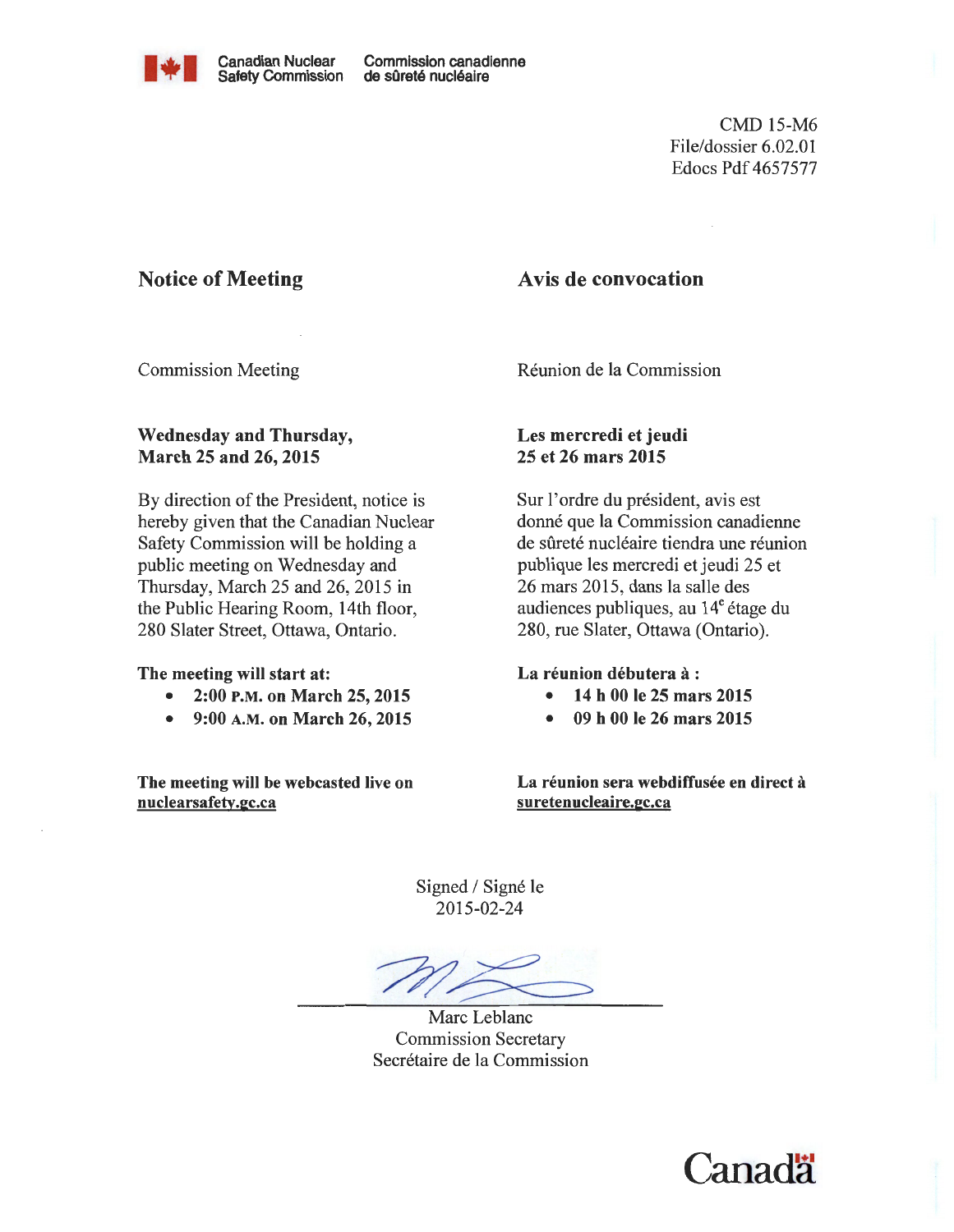

CMD 15-M6 File/dossier 6.02.01 Edocs Pdf 4657577

# Notice of Meeting

# Avis de convocation

Commission Meeting

Wednesday and Thursday, March 25 and 26, 2015

By direction of the President, notice is hereby given that the Canadian Nuclear Safety Commission will be holding a public meeting on Wednesday and Thursday, March 25 and 26, 2015 in the Public Hearing Room, 14th floor, 280 Slater Street, Ottawa, Ontario.

#### The meeting will start at:

- 2:00 P.M. on March 25, 2015
- 9:00 A.M. on March 26, 2015

The meeting will be webcasted live on nuclearsafety.gc.ca

Reunion de la Commission

## Les mercredi et jeudi 25 et 26 mars 2015

Sur l'ordre du président, avis est donné que la Commission canadienne de sûreté nucléaire tiendra une réunion publique les mercredi et jeudi 25 et 26 mars 2015, dans la salle des audiences publiques, au  $14^e$  étage du 280, rue Slater, Ottawa (Ontario).

#### La réunion débutera à :

- 14 h 00 le 25 mars 2015
- 09 h 00 le 26 mars 2015

La réunion sera webdiffusée en direct à suretenucleaire.gc.ca

Signed / Signé le 2015-02-24

Marc Leblanc Commission Secretary Secretaire de la Commission

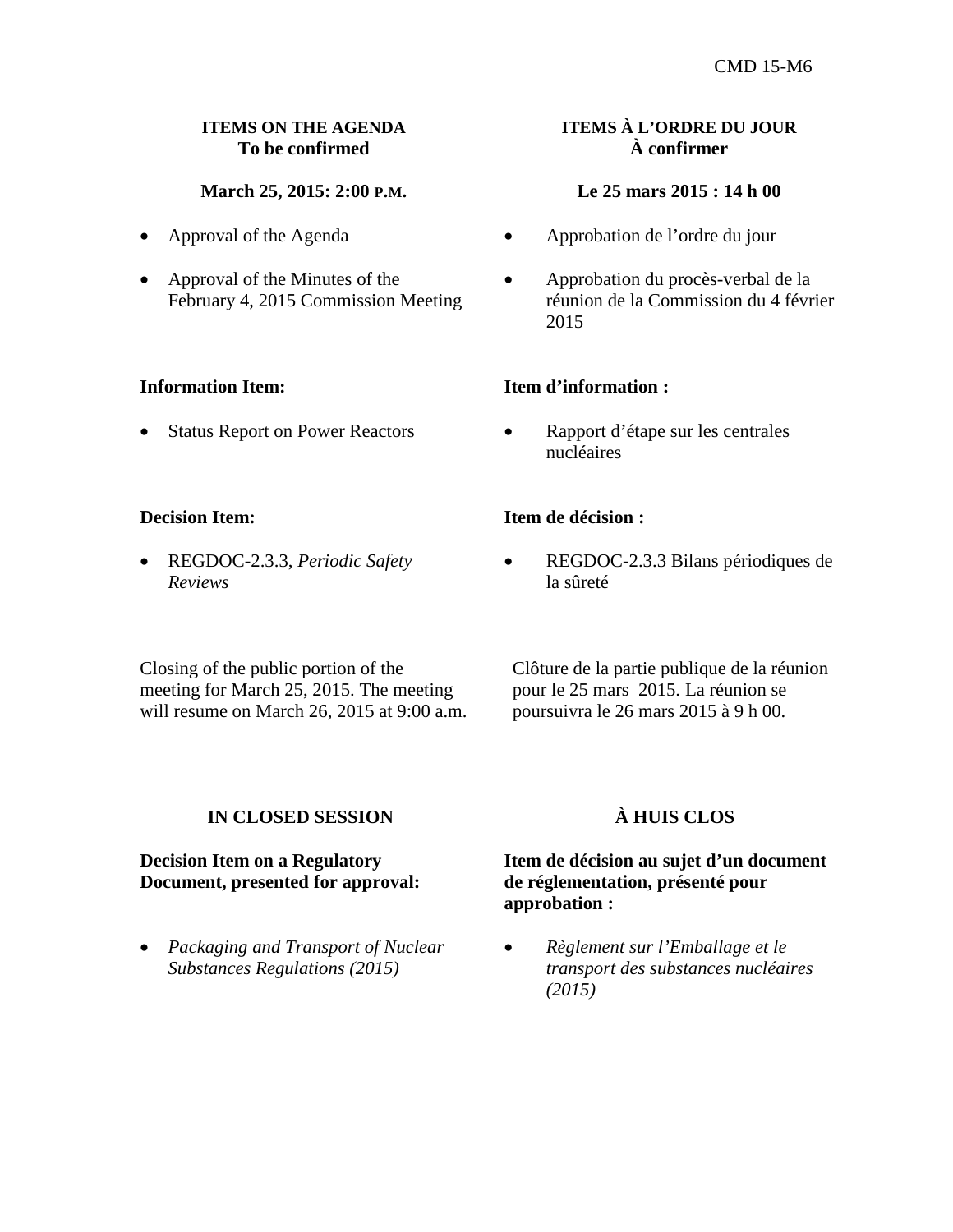### **ITEMS ON THE AGENDA To be confirmed**

## **March 25, 2015: 2:00 P.M.**

- Approval of the Agenda
- Approval of the Minutes of the February 4, 2015 Commission Meeting

#### **Information Item:**

• Status Report on Power Reactors

#### **Decision Item:**

• REGDOC-2.3.3, *Periodic Safety Reviews*

Closing of the public portion of the meeting for March 25, 2015. The meeting will resume on March 26, 2015 at 9:00 a.m.

## **ITEMS À L'ORDRE DU JOUR À confirmer**

#### **Le 25 mars 2015 : 14 h 00**

- Approbation de l'ordre du jour
- Approbation du procès-verbal de la réunion de la Commission du 4 février 2015

#### **Item d'information :**

• Rapport d'étape sur les centrales nucléaires

#### **Item de décision :**

• REGDOC-2.3.3 Bilans périodiques de la sûreté

 Clôture de la partie publique de la réunion pour le 25 mars 2015. La réunion se poursuivra le 26 mars 2015 à 9 h 00.

#### **IN CLOSED SESSION**

#### **Decision Item on a Regulatory Document, presented for approval:**

• *Packaging and Transport of Nuclear Substances Regulations (2015)*

# **À HUIS CLOS**

### **Item de décision au sujet d'un document de réglementation, présenté pour approbation :**

• *Règlement sur l'Emballage et le transport des substances nucléaires (2015)*